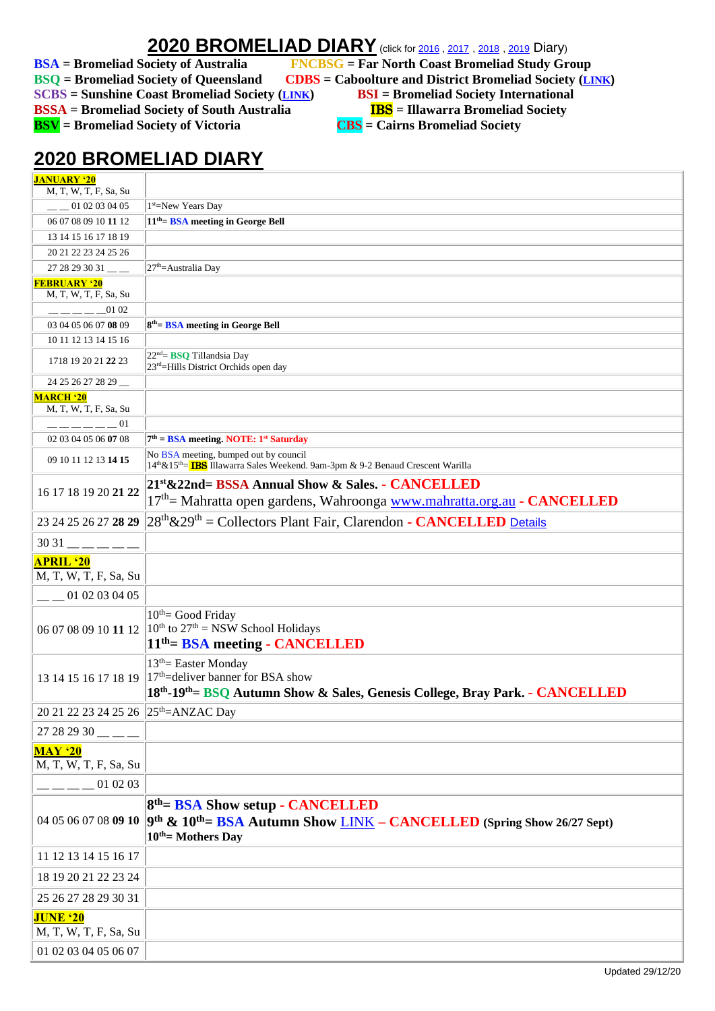## **2020 BROMELIAD DIARY** (click for [2016](Diary2016.pdf), [2017](Diary2017.pdf), [2018](Diary2018.pdf), [2019](Diary2019.pdf) Diary)

**SCBS = Sunshine Coast Bromeliad Society ([LINK](http://scbs.org.au/?page_id=34)) BSI = Bromeliad Society International BSSA** = Bromeliad Society of South Australia **IBS** = Illawarra Bromeliad Society

**BSA** = Bromeliad Society of Australia FNCBSG = Far North Coast Bromeliad Study Group<br>BSQ = Bromeliad Society of Queensland CDBS = Caboolture and District Bromeliad Society (LI **BBS** = Caboolture and District Bromeliad Society (*[LINK](http://cabbroms.webs.com/)*) **BSV** = Bromeliad Society of Victoria **CBS** = Cairns Bromeliad Society

## **2020 BROMELIAD DIARY**

| <b>JANUARY '20</b>                               |                                                                                                                                                                                 |
|--------------------------------------------------|---------------------------------------------------------------------------------------------------------------------------------------------------------------------------------|
| M, T, W, T, F, Sa, Su                            |                                                                                                                                                                                 |
| $-$ 01 02 03 04 05                               | 1 <sup>st</sup> =New Years Day                                                                                                                                                  |
| 06 07 08 09 10 11 12                             | 11 <sup>th</sup> = <b>BSA</b> meeting in George Bell                                                                                                                            |
| 13 14 15 16 17 18 19                             |                                                                                                                                                                                 |
| 20 21 22 23 24 25 26                             |                                                                                                                                                                                 |
| $2728293031$ ___                                 | 27 <sup>th</sup> =Australia Day                                                                                                                                                 |
| <b>FEBRUARY '20</b>                              |                                                                                                                                                                                 |
| M, T, W, T, F, Sa, Su                            |                                                                                                                                                                                 |
| $--- 0102$                                       |                                                                                                                                                                                 |
| 03 04 05 06 07 08 09                             | $8th$ = BSA meeting in George Bell                                                                                                                                              |
| 10 11 12 13 14 15 16                             |                                                                                                                                                                                 |
| 1718 19 20 21 22 23                              | 22 <sup>nd</sup> = <b>BSQ</b> Tillandsia Day<br>23 <sup>rd</sup> =Hills District Orchids open day                                                                               |
| 24 25 26 27 28 29                                |                                                                                                                                                                                 |
| <b>MARCH '20</b><br>M, T, W, T, F, Sa, Su        |                                                                                                                                                                                 |
| $     -$<br>-01                                  |                                                                                                                                                                                 |
| 02 03 04 05 06 07 08                             | $7th$ = BSA meeting. NOTE: 1 <sup>st</sup> Saturday                                                                                                                             |
| 09 10 11 12 13 14 15                             | No BSA meeting, bumped out by council<br>14th & 15th = IBS Illawarra Sales Weekend. 9am-3pm & 9-2 Benaud Crescent Warilla                                                       |
|                                                  | 21st & 22nd= BSSA Annual Show & Sales. - CANCELLED                                                                                                                              |
| 16 17 18 19 20 21 22                             | 17 <sup>th</sup> = Mahratta open gardens, Wahroonga www.mahratta.org.au - CANCELLED                                                                                             |
| 23 24 25 26 27 28 29                             | $28th \& 29th$ = Collectors Plant Fair, Clarendon - CANCELLED Details                                                                                                           |
| $3031$ — — — — —                                 |                                                                                                                                                                                 |
| <b>APRIL '20</b><br>M, T, W, T, F, Sa, Su        |                                                                                                                                                                                 |
| $-$ 01 02 03 04 05                               |                                                                                                                                                                                 |
| 06 07 08 09 10 11 12                             | $10th$ Good Friday<br>$10^{th}$ to $27^{th}$ = NSW School Holidays<br>11 <sup>th</sup> = BSA meeting - CANCELLED                                                                |
| 13 14 15 16 17 18 19                             | $13th$ Easter Monday<br>$17th$ deliver banner for BSA show<br>18th-19th = BSQ Autumn Show & Sales, Genesis College, Bray Park. - CANCELLED                                      |
| 20 21 22 23 24 25 26 25 <sup>th</sup> =ANZAC Day |                                                                                                                                                                                 |
| $27282930$ __ __                                 |                                                                                                                                                                                 |
| <b>MAY</b> '20                                   |                                                                                                                                                                                 |
| M, T, W, T, F, Sa, Su<br>01 02 03                |                                                                                                                                                                                 |
|                                                  |                                                                                                                                                                                 |
|                                                  | $8th$ = BSA Show setup - CANCELLED<br>04 05 06 07 08 09 10 9th & 10 <sup>th</sup> = BSA Autumn Show <u>LINK</u> - CANCELLED (Spring Show 26/27 Sept)<br>$10^{th}$ = Mothers Day |
| 11 12 13 14 15 16 17                             |                                                                                                                                                                                 |
| 18 19 20 21 22 23 24                             |                                                                                                                                                                                 |
| 25 26 27 28 29 30 31                             |                                                                                                                                                                                 |
| <b>JUNE '20</b><br>M, T, W, T, F, Sa, Su         |                                                                                                                                                                                 |
| 01 02 03 04 05 06 07                             |                                                                                                                                                                                 |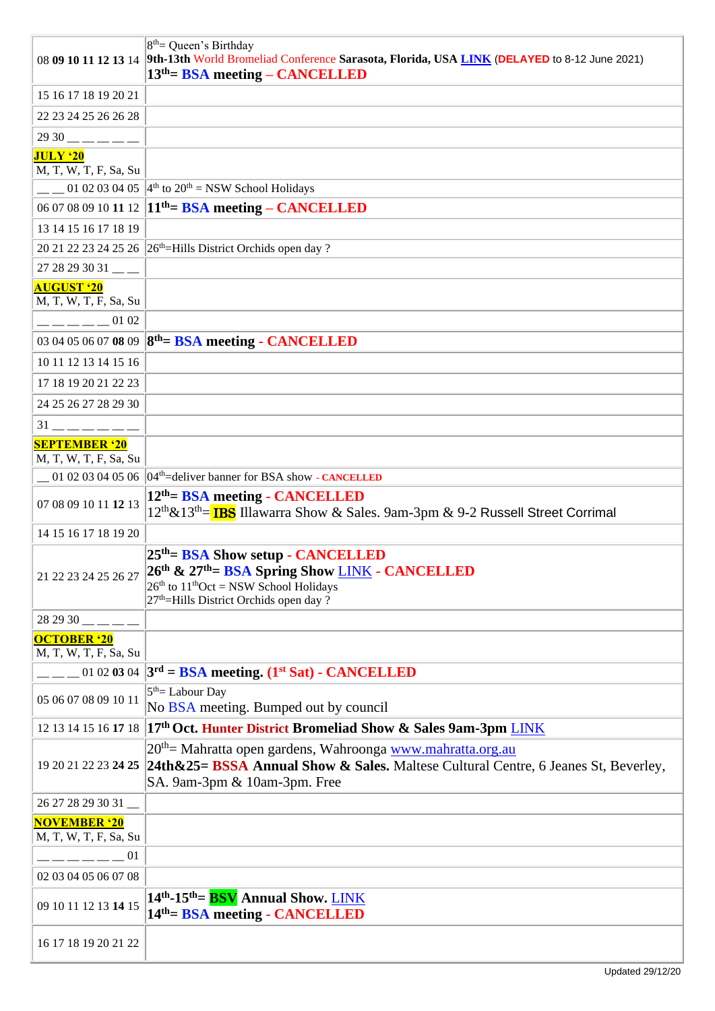|                                               | $8th$ Queen's Birthday<br>08 09 10 11 12 13 14 9th-13th World Bromeliad Conference Sarasota, Florida, USA LINK (DELAYED to 8-12 June 2021)<br>$13th$ = BSA meeting – CANCELLED                                                               |
|-----------------------------------------------|----------------------------------------------------------------------------------------------------------------------------------------------------------------------------------------------------------------------------------------------|
| 15 16 17 18 19 20 21                          |                                                                                                                                                                                                                                              |
| 22 23 24 25 26 26 28                          |                                                                                                                                                                                                                                              |
| $2930$ — — — — —                              |                                                                                                                                                                                                                                              |
| <b>JULY '20</b>                               |                                                                                                                                                                                                                                              |
| M, T, W, T, F, Sa, Su                         |                                                                                                                                                                                                                                              |
|                                               | $-$ 01 02 03 04 05 4 <sup>th</sup> to 20 <sup>th</sup> = NSW School Holidays                                                                                                                                                                 |
|                                               | 06 07 08 09 10 11 12 1 <sup>th</sup> = <b>BSA</b> meeting – <b>CANCELLED</b>                                                                                                                                                                 |
| 13 14 15 16 17 18 19                          |                                                                                                                                                                                                                                              |
|                                               | 20 21 22 23 24 25 26 26 <sup>th</sup> =Hills District Orchids open day?                                                                                                                                                                      |
| $2728293031$ __                               |                                                                                                                                                                                                                                              |
| <b>AUGUST '20</b><br>M, T, W, T, F, Sa, Su    |                                                                                                                                                                                                                                              |
| 01 02                                         |                                                                                                                                                                                                                                              |
|                                               | 03 04 05 06 07 08 09 8 <sup>th</sup> = BSA meeting - CANCELLED                                                                                                                                                                               |
| 10 11 12 13 14 15 16                          |                                                                                                                                                                                                                                              |
| 17 18 19 20 21 22 23                          |                                                                                                                                                                                                                                              |
| 24 25 26 27 28 29 30                          |                                                                                                                                                                                                                                              |
| $31 -$ - - - -                                |                                                                                                                                                                                                                                              |
| <b>SEPTEMBER '20</b><br>M, T, W, T, F, Sa, Su |                                                                                                                                                                                                                                              |
|                                               | 01 02 03 04 05 06 $\vert 04^{\text{th}}$ deliver banner for BSA show - CANCELLED                                                                                                                                                             |
| 07 08 09 10 11 12 13                          | 12 <sup>th</sup> = BSA meeting - CANCELLED<br>12 <sup>th</sup> &13 <sup>th</sup> = <b>IBS</b> Illawarra Show & Sales. 9am-3pm & 9-2 Russell Street Corrimal                                                                                  |
| 14 15 16 17 18 19 20                          |                                                                                                                                                                                                                                              |
|                                               | 25 <sup>th</sup> = BSA Show setup - CANCELLED<br>21 22 23 24 25 26 27 26 <sup>th</sup> & 27 <sup>th</sup> = BSA Spring Show <u>LINK</u> - CANCELLED<br>$26th$ to $11thOct = NSW$ School Holidays<br>$27th$ =Hills District Orchids open day? |
| $282930$ __ _ _                               |                                                                                                                                                                                                                                              |
| <b>OCTOBER '20</b><br>M, T, W, T, F, Sa, Su   |                                                                                                                                                                                                                                              |
|                                               | $\mu_{\text{max}}$ 01 02 03 04   3 <sup>rd</sup> = BSA meeting. (1 <sup>st</sup> Sat) - CANCELLED                                                                                                                                            |
| 05 06 07 08 09 10 11                          | $5th=$ Labour Day<br>No BSA meeting. Bumped out by council                                                                                                                                                                                   |
|                                               | 12 13 14 15 16 17 18 17th Oct. Hunter District Bromeliad Show & Sales 9am-3pm LINK                                                                                                                                                           |
|                                               | 20 <sup>th</sup> = Mahratta open gardens, Wahroonga www.mahratta.org.au<br>19 20 21 22 23 24 25 24th & 25 = BSSA Annual Show & Sales. Maltese Cultural Centre, 6 Jeanes St, Beverley,<br>SA. 9am-3pm & 10am-3pm. Free                        |
| 26 27 28 29 30 31                             |                                                                                                                                                                                                                                              |
| <b>NOVEMBER '20</b><br>M, T, W, T, F, Sa, Su  |                                                                                                                                                                                                                                              |
| $= 01$                                        |                                                                                                                                                                                                                                              |
| 02 03 04 05 06 07 08                          |                                                                                                                                                                                                                                              |
| 09 10 11 12 13 14 15                          | 14 <sup>th</sup> -15 <sup>th</sup> = <b>BSV</b> Annual Show. LINK<br>14 <sup>th</sup> = BSA meeting - CANCELLED                                                                                                                              |
| 16 17 18 19 20 21 22                          |                                                                                                                                                                                                                                              |